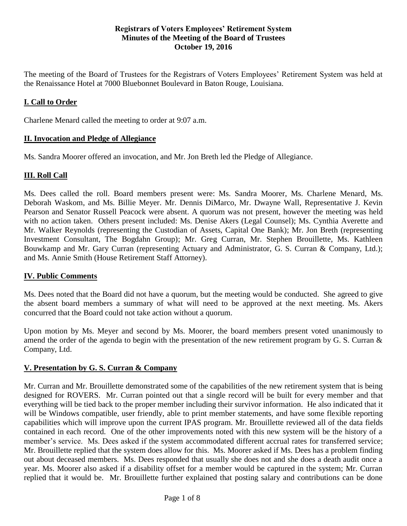#### **Registrars of Voters Employees' Retirement System Minutes of the Meeting of the Board of Trustees October 19, 2016**

The meeting of the Board of Trustees for the Registrars of Voters Employees' Retirement System was held at the Renaissance Hotel at 7000 Bluebonnet Boulevard in Baton Rouge, Louisiana.

### **I. Call to Order**

Charlene Menard called the meeting to order at 9:07 a.m.

#### **II. Invocation and Pledge of Allegiance**

Ms. Sandra Moorer offered an invocation, and Mr. Jon Breth led the Pledge of Allegiance.

### **III. Roll Call**

Ms. Dees called the roll. Board members present were: Ms. Sandra Moorer, Ms. Charlene Menard, Ms. Deborah Waskom, and Ms. Billie Meyer. Mr. Dennis DiMarco, Mr. Dwayne Wall, Representative J. Kevin Pearson and Senator Russell Peacock were absent. A quorum was not present, however the meeting was held with no action taken. Others present included: Ms. Denise Akers (Legal Counsel); Ms. Cynthia Averette and Mr. Walker Reynolds (representing the Custodian of Assets, Capital One Bank); Mr. Jon Breth (representing Investment Consultant, The Bogdahn Group); Mr. Greg Curran, Mr. Stephen Brouillette, Ms. Kathleen Bouwkamp and Mr. Gary Curran (representing Actuary and Administrator, G. S. Curran & Company, Ltd.); and Ms. Annie Smith (House Retirement Staff Attorney).

### **IV. Public Comments**

Ms. Dees noted that the Board did not have a quorum, but the meeting would be conducted. She agreed to give the absent board members a summary of what will need to be approved at the next meeting. Ms. Akers concurred that the Board could not take action without a quorum.

Upon motion by Ms. Meyer and second by Ms. Moorer, the board members present voted unanimously to amend the order of the agenda to begin with the presentation of the new retirement program by G. S. Curran & Company, Ltd.

#### **V. Presentation by G. S. Curran & Company**

Mr. Curran and Mr. Brouillette demonstrated some of the capabilities of the new retirement system that is being designed for ROVERS. Mr. Curran pointed out that a single record will be built for every member and that everything will be tied back to the proper member including their survivor information. He also indicated that it will be Windows compatible, user friendly, able to print member statements, and have some flexible reporting capabilities which will improve upon the current IPAS program. Mr. Brouillette reviewed all of the data fields contained in each record. One of the other improvements noted with this new system will be the history of a member's service. Ms. Dees asked if the system accommodated different accrual rates for transferred service; Mr. Brouillette replied that the system does allow for this. Ms. Moorer asked if Ms. Dees has a problem finding out about deceased members. Ms. Dees responded that usually she does not and she does a death audit once a year. Ms. Moorer also asked if a disability offset for a member would be captured in the system; Mr. Curran replied that it would be. Mr. Brouillette further explained that posting salary and contributions can be done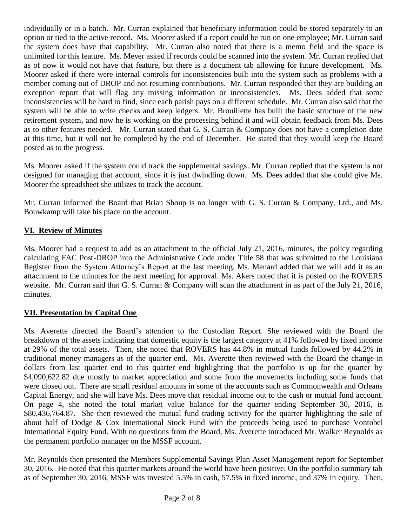individually or in a batch. Mr. Curran explained that beneficiary information could be stored separately to an option or tied to the active record. Ms. Moorer asked if a report could be run on one employee; Mr. Curran said the system does have that capability. Mr. Curran also noted that there is a memo field and the space is unlimited for this feature. Ms. Meyer asked if records could be scanned into the system. Mr. Curran replied that as of now it would not have that feature, but there is a document tab allowing for future development. Ms. Moorer asked if there were internal controls for inconsistencies built into the system such as problems with a member coming out of DROP and not resuming contributions. Mr. Curran responded that they are building an exception report that will flag any missing information or inconsistencies. Ms. Dees added that some inconsistencies will be hard to find, since each parish pays on a different schedule. Mr. Curran also said that the system will be able to write checks and keep ledgers. Mr. Brouillette has built the basic structure of the new retirement system, and now he is working on the processing behind it and will obtain feedback from Ms. Dees as to other features needed. Mr. Curran stated that G. S. Curran & Company does not have a completion date at this time, but it will not be completed by the end of December. He stated that they would keep the Board posted as to the progress.

Ms. Moorer asked if the system could track the supplemental savings. Mr. Curran replied that the system is not designed for managing that account, since it is just dwindling down. Ms. Dees added that she could give Ms. Moorer the spreadsheet she utilizes to track the account.

Mr. Curran informed the Board that Brian Shoup is no longer with G. S. Curran & Company, Ltd., and Ms. Bouwkamp will take his place on the account.

# **VI. Review of Minutes**

Ms. Moorer had a request to add as an attachment to the official July 21, 2016, minutes, the policy regarding calculating FAC Post-DROP into the Administrative Code under Title 58 that was submitted to the Louisiana Register from the System Attorney's Report at the last meeting. Ms. Menard added that we will add it as an attachment to the minutes for the next meeting for approval. Ms. Akers noted that it is posted on the ROVERS website. Mr. Curran said that G. S. Curran & Company will scan the attachment in as part of the July 21, 2016, minutes.

### **VII. Presentation by Capital One**

Ms. Averette directed the Board's attention to the Custodian Report. She reviewed with the Board the breakdown of the assets indicating that domestic equity is the largest category at 41% followed by fixed income at 29% of the total assets. Then, she noted that ROVERS has 44.8% in mutual funds followed by 44.2% in traditional money managers as of the quarter end. Ms. Averette then reviewed with the Board the change in dollars from last quarter end to this quarter end highlighting that the portfolio is up for the quarter by \$4,090,622.82 due mostly to market appreciation and some from the movements including some funds that were closed out. There are small residual amounts in some of the accounts such as Commonwealth and Orleans Capital Energy, and she will have Ms. Dees move that residual income out to the cash or mutual fund account. On page 4, she noted the total market value balance for the quarter ending September 30, 2016, is \$80,436,764.87. She then reviewed the mutual fund trading activity for the quarter highlighting the sale of about half of Dodge & Cox International Stock Fund with the proceeds being used to purchase Vontobel International Equity Fund. With no questions from the Board, Ms. Averette introduced Mr. Walker Reynolds as the permanent portfolio manager on the MSSF account.

Mr. Reynolds then presented the Members Supplemental Savings Plan Asset Management report for September 30, 2016. He noted that this quarter markets around the world have been positive. On the portfolio summary tab as of September 30, 2016, MSSF was invested 5.5% in cash, 57.5% in fixed income, and 37% in equity. Then,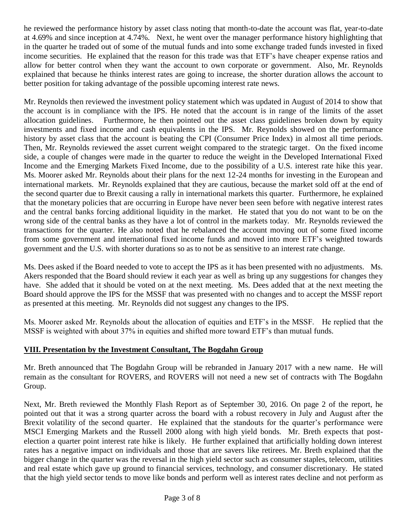he reviewed the performance history by asset class noting that month-to-date the account was flat, year-to-date at 4.69% and since inception at 4.74%. Next, he went over the manager performance history highlighting that in the quarter he traded out of some of the mutual funds and into some exchange traded funds invested in fixed income securities. He explained that the reason for this trade was that ETF's have cheaper expense ratios and allow for better control when they want the account to own corporate or government. Also, Mr. Reynolds explained that because he thinks interest rates are going to increase, the shorter duration allows the account to better position for taking advantage of the possible upcoming interest rate news.

Mr. Reynolds then reviewed the investment policy statement which was updated in August of 2014 to show that the account is in compliance with the IPS. He noted that the account is in range of the limits of the asset allocation guidelines. Furthermore, he then pointed out the asset class guidelines broken down by equity investments and fixed income and cash equivalents in the IPS. Mr. Reynolds showed on the performance history by asset class that the account is beating the CPI (Consumer Price Index) in almost all time periods. Then, Mr. Reynolds reviewed the asset current weight compared to the strategic target. On the fixed income side, a couple of changes were made in the quarter to reduce the weight in the Developed International Fixed Income and the Emerging Markets Fixed Income, due to the possibility of a U.S. interest rate hike this year. Ms. Moorer asked Mr. Reynolds about their plans for the next 12-24 months for investing in the European and international markets. Mr. Reynolds explained that they are cautious, because the market sold off at the end of the second quarter due to Brexit causing a rally in international markets this quarter. Furthermore, he explained that the monetary policies that are occurring in Europe have never been seen before with negative interest rates and the central banks forcing additional liquidity in the market. He stated that you do not want to be on the wrong side of the central banks as they have a lot of control in the markets today. Mr. Reynolds reviewed the transactions for the quarter. He also noted that he rebalanced the account moving out of some fixed income from some government and international fixed income funds and moved into more ETF's weighted towards government and the U.S. with shorter durations so as to not be as sensitive to an interest rate change.

Ms. Dees asked if the Board needed to vote to accept the IPS as it has been presented with no adjustments. Ms. Akers responded that the Board should review it each year as well as bring up any suggestions for changes they have. She added that it should be voted on at the next meeting. Ms. Dees added that at the next meeting the Board should approve the IPS for the MSSF that was presented with no changes and to accept the MSSF report as presented at this meeting. Mr. Reynolds did not suggest any changes to the IPS.

Ms. Moorer asked Mr. Reynolds about the allocation of equities and ETF's in the MSSF. He replied that the MSSF is weighted with about 37% in equities and shifted more toward ETF's than mutual funds.

# **VIII. Presentation by the Investment Consultant, The Bogdahn Group**

Mr. Breth announced that The Bogdahn Group will be rebranded in January 2017 with a new name. He will remain as the consultant for ROVERS, and ROVERS will not need a new set of contracts with The Bogdahn Group.

Next, Mr. Breth reviewed the Monthly Flash Report as of September 30, 2016. On page 2 of the report, he pointed out that it was a strong quarter across the board with a robust recovery in July and August after the Brexit volatility of the second quarter. He explained that the standouts for the quarter's performance were MSCI Emerging Markets and the Russell 2000 along with high yield bonds. Mr. Breth expects that postelection a quarter point interest rate hike is likely. He further explained that artificially holding down interest rates has a negative impact on individuals and those that are savers like retirees. Mr. Breth explained that the bigger change in the quarter was the reversal in the high yield sector such as consumer staples, telecom, utilities and real estate which gave up ground to financial services, technology, and consumer discretionary. He stated that the high yield sector tends to move like bonds and perform well as interest rates decline and not perform as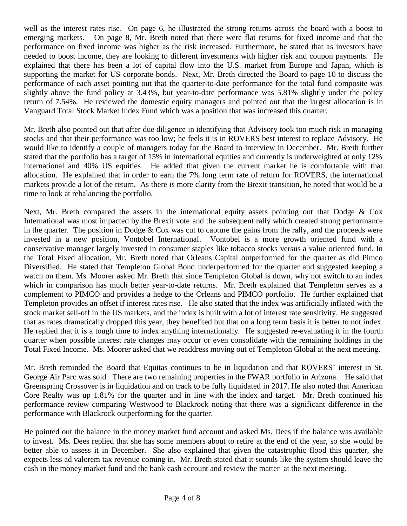well as the interest rates rise. On page 6, he illustrated the strong returns across the board with a boost to emerging markets. On page 8, Mr. Breth noted that there were flat returns for fixed income and that the performance on fixed income was higher as the risk increased. Furthermore, he stated that as investors have needed to boost income, they are looking to different investments with higher risk and coupon payments. He explained that there has been a lot of capital flow into the U.S. market from Europe and Japan, which is supporting the market for US corporate bonds. Next, Mr. Breth directed the Board to page 10 to discuss the performance of each asset pointing out that the quarter-to-date performance for the total fund composite was slightly above the fund policy at 3.43%, but year-to-date performance was 5.81% slightly under the policy return of 7.54%. He reviewed the domestic equity managers and pointed out that the largest allocation is in Vanguard Total Stock Market Index Fund which was a position that was increased this quarter.

Mr. Breth also pointed out that after due diligence in identifying that Advisory took too much risk in managing stocks and that their performance was too low; he feels it is in ROVERS best interest to replace Advisory. He would like to identify a couple of managers today for the Board to interview in December. Mr. Breth further stated that the portfolio has a target of 15% in international equities and currently is underweighted at only 12% international and 40% US equities. He added that given the current market he is comfortable with that allocation. He explained that in order to earn the 7% long term rate of return for ROVERS, the international markets provide a lot of the return. As there is more clarity from the Brexit transition, he noted that would be a time to look at rebalancing the portfolio.

Next, Mr. Breth compared the assets in the international equity assets pointing out that Dodge & Cox International was most impacted by the Brexit vote and the subsequent rally which created strong performance in the quarter. The position in Dodge & Cox was cut to capture the gains from the rally, and the proceeds were invested in a new position, Vontobel International. Vontobel is a more growth oriented fund with a conservative manager largely invested in consumer staples like tobacco stocks versus a value oriented fund. In the Total Fixed allocation, Mr. Breth noted that Orleans Capital outperformed for the quarter as did Pimco Diversified. He stated that Templeton Global Bond underperformed for the quarter and suggested keeping a watch on them. Ms. Moorer asked Mr. Breth that since Templeton Global is down, why not switch to an index which in comparison has much better year-to-date returns. Mr. Breth explained that Templeton serves as a complement to PIMCO and provides a hedge to the Orleans and PIMCO portfolio. He further explained that Templeton provides an offset if interest rates rise. He also stated that the index was artificially inflated with the stock market sell-off in the US markets, and the index is built with a lot of interest rate sensitivity. He suggested that as rates dramatically dropped this year, they benefited but that on a long term basis it is better to not index. He replied that it is a tough time to index anything internationally. He suggested re-evaluating it in the fourth quarter when possible interest rate changes may occur or even consolidate with the remaining holdings in the Total Fixed Income. Ms. Moorer asked that we readdress moving out of Templeton Global at the next meeting.

Mr. Breth reminded the Board that Equitas continues to be in liquidation and that ROVERS' interest in St. George Air Parc was sold. There are two remaining properties in the FWAR portfolio in Arizona. He said that Greenspring Crossover is in liquidation and on track to be fully liquidated in 2017. He also noted that American Core Realty was up 1.81% for the quarter and in line with the index and target. Mr. Breth continued his performance review comparing Westwood to Blackrock noting that there was a significant difference in the performance with Blackrock outperforming for the quarter.

He pointed out the balance in the money market fund account and asked Ms. Dees if the balance was available to invest. Ms. Dees replied that she has some members about to retire at the end of the year, so she would be better able to assess it in December. She also explained that given the catastrophic flood this quarter, she expects less ad valorem tax revenue coming in. Mr. Breth stated that it sounds like the system should leave the cash in the money market fund and the bank cash account and review the matter at the next meeting.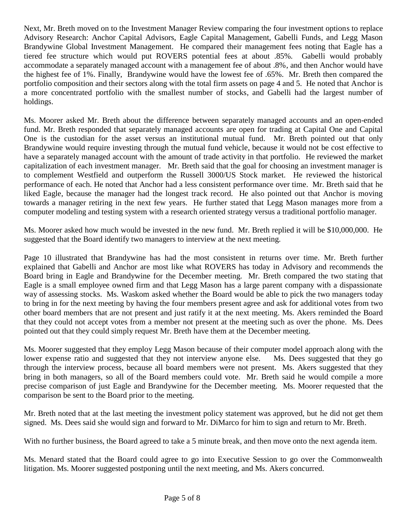Next, Mr. Breth moved on to the Investment Manager Review comparing the four investment options to replace Advisory Research: Anchor Capital Advisors, Eagle Capital Management, Gabelli Funds, and Legg Mason Brandywine Global Investment Management. He compared their management fees noting that Eagle has a tiered fee structure which would put ROVERS potential fees at about .85%. Gabelli would probably accommodate a separately managed account with a management fee of about .8%, and then Anchor would have the highest fee of 1%. Finally, Brandywine would have the lowest fee of .65%. Mr. Breth then compared the portfolio composition and their sectors along with the total firm assets on page 4 and 5. He noted that Anchor is a more concentrated portfolio with the smallest number of stocks, and Gabelli had the largest number of holdings.

Ms. Moorer asked Mr. Breth about the difference between separately managed accounts and an open-ended fund. Mr. Breth responded that separately managed accounts are open for trading at Capital One and Capital One is the custodian for the asset versus an institutional mutual fund. Mr. Breth pointed out that only Brandywine would require investing through the mutual fund vehicle, because it would not be cost effective to have a separately managed account with the amount of trade activity in that portfolio. He reviewed the market capitalization of each investment manager. Mr. Breth said that the goal for choosing an investment manager is to complement Westfield and outperform the Russell 3000/US Stock market. He reviewed the historical performance of each. He noted that Anchor had a less consistent performance over time. Mr. Breth said that he liked Eagle, because the manager had the longest track record. He also pointed out that Anchor is moving towards a manager retiring in the next few years. He further stated that Legg Mason manages more from a computer modeling and testing system with a research oriented strategy versus a traditional portfolio manager.

Ms. Moorer asked how much would be invested in the new fund. Mr. Breth replied it will be \$10,000,000. He suggested that the Board identify two managers to interview at the next meeting.

Page 10 illustrated that Brandywine has had the most consistent in returns over time. Mr. Breth further explained that Gabelli and Anchor are most like what ROVERS has today in Advisory and recommends the Board bring in Eagle and Brandywine for the December meeting. Mr. Breth compared the two stating that Eagle is a small employee owned firm and that Legg Mason has a large parent company with a dispassionate way of assessing stocks. Ms. Waskom asked whether the Board would be able to pick the two managers today to bring in for the next meeting by having the four members present agree and ask for additional votes from two other board members that are not present and just ratify it at the next meeting. Ms. Akers reminded the Board that they could not accept votes from a member not present at the meeting such as over the phone. Ms. Dees pointed out that they could simply request Mr. Breth have them at the December meeting.

Ms. Moorer suggested that they employ Legg Mason because of their computer model approach along with the lower expense ratio and suggested that they not interview anyone else. Ms. Dees suggested that they go through the interview process, because all board members were not present. Ms. Akers suggested that they bring in both managers, so all of the Board members could vote. Mr. Breth said he would compile a more precise comparison of just Eagle and Brandywine for the December meeting. Ms. Moorer requested that the comparison be sent to the Board prior to the meeting.

Mr. Breth noted that at the last meeting the investment policy statement was approved, but he did not get them signed. Ms. Dees said she would sign and forward to Mr. DiMarco for him to sign and return to Mr. Breth.

With no further business, the Board agreed to take a 5 minute break, and then move onto the next agenda item.

Ms. Menard stated that the Board could agree to go into Executive Session to go over the Commonwealth litigation. Ms. Moorer suggested postponing until the next meeting, and Ms. Akers concurred.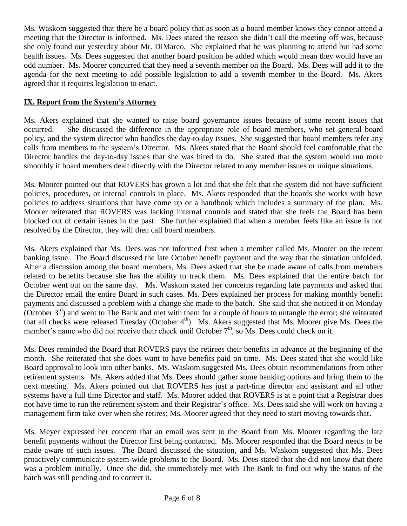Ms. Waskom suggested that there be a board policy that as soon as a board member knows they cannot attend a meeting that the Director is informed. Ms. Dees stated the reason she didn't call the meeting off was, because she only found out yesterday about Mr. DiMarco. She explained that he was planning to attend but had some health issues. Ms. Dees suggested that another board position be added which would mean they would have an odd number. Ms. Moorer concurred that they need a seventh member on the Board. Ms. Dees will add it to the agenda for the next meeting to add possible legislation to add a seventh member to the Board. Ms. Akers agreed that it requires legislation to enact.

## **IX. Report from the System's Attorney**

Ms. Akers explained that she wanted to raise board governance issues because of some recent issues that occurred. She discussed the difference in the appropriate role of board members, who set general board policy, and the system director who handles the day-to-day issues. She suggested that board members refer any calls from members to the system's Director. Ms. Akers stated that the Board should feel comfortable that the Director handles the day-to-day issues that she was hired to do. She stated that the system would run more smoothly if board members dealt directly with the Director related to any member issues or unique situations.

Ms. Moorer pointed out that ROVERS has grown a lot and that she felt that the system did not have sufficient policies, procedures, or internal controls in place. Ms. Akers responded that the boards she works with have policies to address situations that have come up or a handbook which includes a summary of the plan. Ms. Moorer reiterated that ROVERS was lacking internal controls and stated that she feels the Board has been blocked out of certain issues in the past. She further explained that when a member feels like an issue is not resolved by the Director, they will then call board members.

Ms. Akers explained that Ms. Dees was not informed first when a member called Ms. Moorer on the recent banking issue. The Board discussed the late October benefit payment and the way that the situation unfolded. After a discussion among the board members, Ms. Dees asked that she be made aware of calls from members related to benefits because she has the ability to track them. Ms. Dees explained that the entire batch for October went out on the same day. Ms. Waskom stated her concerns regarding late payments and asked that the Director email the entire Board in such cases. Ms. Dees explained her process for making monthly benefit payments and discussed a problem with a change she made to the batch. She said that she noticed it on Monday (October  $3<sup>rd</sup>$ ) and went to The Bank and met with them for a couple of hours to untangle the error; she reiterated that all checks were released Tuesday (October  $4<sup>th</sup>$ ). Ms. Akers suggested that Ms. Moorer give Ms. Dees the member's name who did not receive their check until October  $7<sup>th</sup>$ , so Ms. Dees could check on it.

Ms. Dees reminded the Board that ROVERS pays the retirees their benefits in advance at the beginning of the month. She reiterated that she does want to have benefits paid on time. Ms. Dees stated that she would like Board approval to look into other banks. Ms. Waskom suggested Ms. Dees obtain recommendations from other retirement systems. Ms. Akers added that Ms. Dees should gather some banking options and bring them to the next meeting. Ms. Akers pointed out that ROVERS has just a part-time director and assistant and all other systems have a full time Director and staff. Ms. Moorer added that ROVERS is at a point that a Registrar does not have time to run the retirement system and their Registrar's office. Ms. Dees said she will work on having a management firm take over when she retires; Ms. Moorer agreed that they need to start moving towards that.

Ms. Meyer expressed her concern that an email was sent to the Board from Ms. Moorer regarding the late benefit payments without the Director first being contacted. Ms. Moorer responded that the Board needs to be made aware of such issues. The Board discussed the situation, and Ms. Waskom suggested that Ms. Dees proactively communicate system-wide problems to the Board. Ms. Dees stated that she did not know that there was a problem initially. Once she did, she immediately met with The Bank to find out why the status of the batch was still pending and to correct it.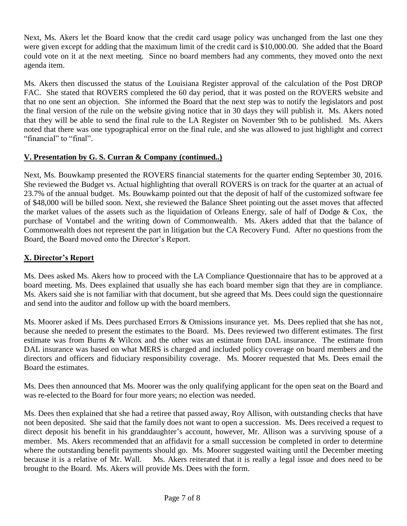Next, Ms. Akers let the Board know that the credit card usage policy was unchanged from the last one they were given except for adding that the maximum limit of the credit card is \$10,000.00. She added that the Board could vote on it at the next meeting. Since no board members had any comments, they moved onto the next agenda item.

Ms. Akers then discussed the status of the Louisiana Register approval of the calculation of the Post DROP FAC. She stated that ROVERS completed the 60 day period, that it was posted on the ROVERS website and that no one sent an objection. She informed the Board that the next step was to notify the legislators and post the final version of the rule on the website giving notice that in 30 days they will publish it. Ms. Akers noted that they will be able to send the final rule to the LA Register on November 9th to be published. Ms. Akers noted that there was one typographical error on the final rule, and she was allowed to just highlight and correct "financial" to "final".

## **V. Presentation by G. S. Curran & Company (continued..)**

Next, Ms. Bouwkamp presented the ROVERS financial statements for the quarter ending September 30, 2016. She reviewed the Budget vs. Actual highlighting that overall ROVERS is on track for the quarter at an actual of 23.7% of the annual budget. Ms. Bouwkamp pointed out that the deposit of half of the customized software fee of \$48,000 will be billed soon. Next, she reviewed the Balance Sheet pointing out the asset moves that affected the market values of the assets such as the liquidation of Orleans Energy, sale of half of Dodge & Cox, the purchase of Vontabel and the writing down of Commonwealth. Ms. Akers added that that the balance of Commonwealth does not represent the part in litigation but the CA Recovery Fund. After no questions from the Board, the Board moved onto the Director's Report.

## **X. Director's Report**

Ms. Dees asked Ms. Akers how to proceed with the LA Compliance Questionnaire that has to be approved at a board meeting. Ms. Dees explained that usually she has each board member sign that they are in compliance. Ms. Akers said she is not familiar with that document, but she agreed that Ms. Dees could sign the questionnaire and send into the auditor and follow up with the board members.

Ms. Moorer asked if Ms. Dees purchased Errors & Omissions insurance yet. Ms. Dees replied that she has not, because she needed to present the estimates to the Board. Ms. Dees reviewed two different estimates. The first estimate was from Burns & Wilcox and the other was an estimate from DAL insurance. The estimate from DAL insurance was based on what MERS is charged and included policy coverage on board members and the directors and officers and fiduciary responsibility coverage. Ms. Moorer requested that Ms. Dees email the Board the estimates.

Ms. Dees then announced that Ms. Moorer was the only qualifying applicant for the open seat on the Board and was re-elected to the Board for four more years; no election was needed.

Ms. Dees then explained that she had a retiree that passed away, Roy Allison, with outstanding checks that have not been deposited. She said that the family does not want to open a succession. Ms. Dees received a request to direct deposit his benefit in his granddaughter's account, however, Mr. Allison was a surviving spouse of a member. Ms. Akers recommended that an affidavit for a small succession be completed in order to determine where the outstanding benefit payments should go. Ms. Moorer suggested waiting until the December meeting because it is a relative of Mr. Wall. Ms. Akers reiterated that it is really a legal issue and does need to be brought to the Board. Ms. Akers will provide Ms. Dees with the form.